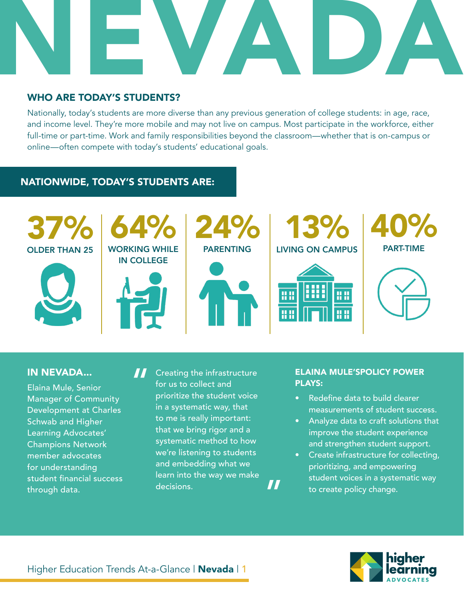

# WHO ARE TODAY'S STUDENTS?

Nationally, today's students are more diverse than any previous generation of college students: in age, race, and income level. They're more mobile and may not live on campus. Most participate in the workforce, either full-time or part-time. Work and family responsibilities beyond the classroom—whether that is on-campus or online—often compete with today's students' educational goals.

# NATIONWIDE, TODAY'S STUDENTS ARE:



### IN NEVADA...

Elaina Mule, Senior Manager of Community Development at Charles Schwab and Higher Learning Advocates' Champions Network member advocates for understanding student financial success through data.

Creating the infrastructure for us to collect and prioritize the student voice in a systematic way, that to me is really important: that we bring rigor and a systematic method to how we're listening to students and embedding what we learn into the way we make decisions. "

"

#### ELAINA MULE'SPOLICY POWER PLAYS:

- Redefine data to build clearer measurements of student success.
- Analyze data to craft solutions that improve the student experience and strengthen student support.
- Create infrastructure for collecting, prioritizing, and empowering student voices in a systematic way to create policy change.

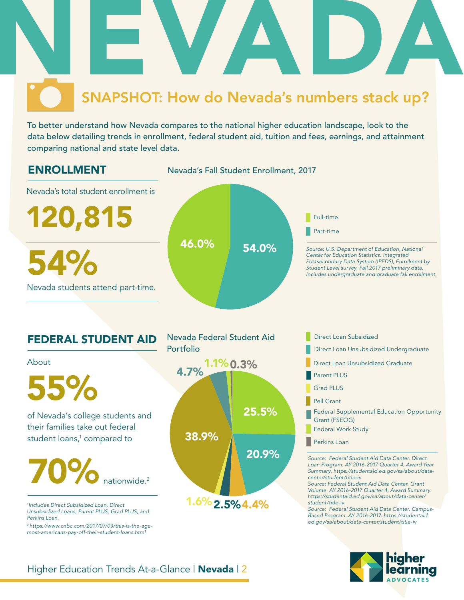

To better understand how Nevada compares to the national higher education landscape, look to the data below detailing trends in enrollment, federal student aid, tuition and fees, earnings, and attainment comparing national and state level data.



*2 https://www.cnbc.com/2017/07/03/this-is-the-agemost-americans-pay-off-their-student-loans.html*

# Higher Education Trends At-a-Glance | **Nevada** | 2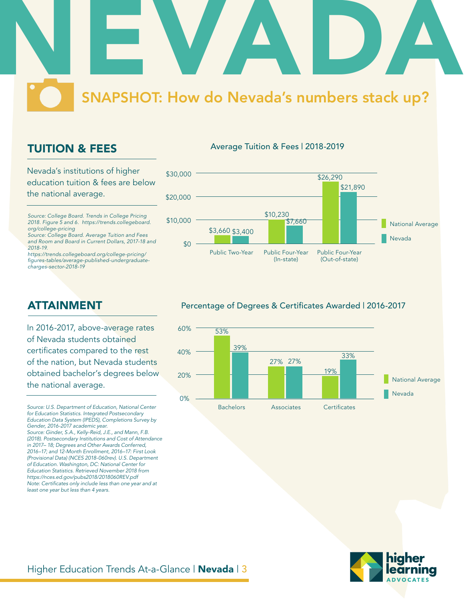

# TUITION & FEES

Nevada's institutions of higher education tuition & fees are below the national average.

*Source: College Board. Trends in College Pricing 2018. Figure 5 and 6. https://trends.collegeboard. org/college-pricing*

*Source: College Board. Average Tuition and Fees and Room and Board in Current Dollars, 2017-18 and 2018-19.*

*https://trends.collegeboard.org/college-pricing/* figures-tables/average-published-undergraduate*charges-sector-2018-19*

# ATTAINMENT

In 2016-2017, above-average rates of Nevada students obtained certificates compared to the rest of the nation, but Nevada students obtained bachelor's degrees below the national average.

*Source: U.S. Department of Education, National Center for Education Statistics. Integrated Postsecondary Education Data System (IPEDS), Completions Survey by Gender, 2016-2017 academic year. Source: Ginder, S.A., Kelly-Reid, J.E., and Mann, F.B.* 

*(2018). Postsecondary Institutions and Cost of Attendance in 2017– 18; Degrees and Other Awards Conferred, 2016–17; and 12-Month Enrollment, 2016–17: First Look (Provisional Data) (NCES 2018-060rev). U.S. Department of Education. Washington, DC: National Center for Education Statistics. Retrieved November 2018 from https://nces.ed.gov/pubs2018/2018060REV.pdf* Note: Certificates only include less than one year and at *least one year but less than 4 years.* 

#### Average Tuition & Fees | 2018-2019



#### Percentage of Degrees & Certificates Awarded | 2016-2017



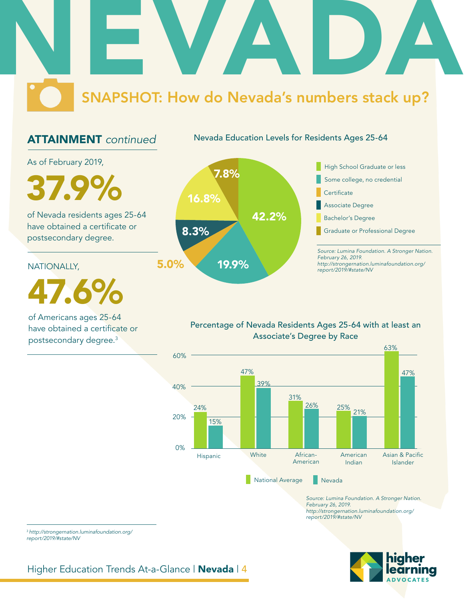# NEVADA SNAPSHOT: How do Nevada's numbers stack up?

# ATTAINMENT *continued*

Nevada Education Levels for Residents Ages 25-64

As of February 2019,

of Nevada residents ages 25-64 have obtained a certificate or postsecondary degree.

NATIONALLY,

47.6%

of Americans ages 25-64 have obtained a certificate or postsecondary degree.3



*Source: Lumina Foundation. A Stronger Nation. February 26, 2019. http://strongernation.luminafoundation.org/* Associate Degree Bachelor's Degree Graduate or Professional Degree

Percentage of Nevada Residents Ages 25-64 with at least an Associate's Degree by Race



*Source: Lumina Foundation. A Stronger Nation. February 26, 2019. http://strongernation.luminafoundation.org/ report/2019/#state/NV*



<sup>3</sup>*http://strongernation.luminafoundation.org/ report/2019/#state/NV*

Higher Education Trends At-a-Glance | Nevada | 4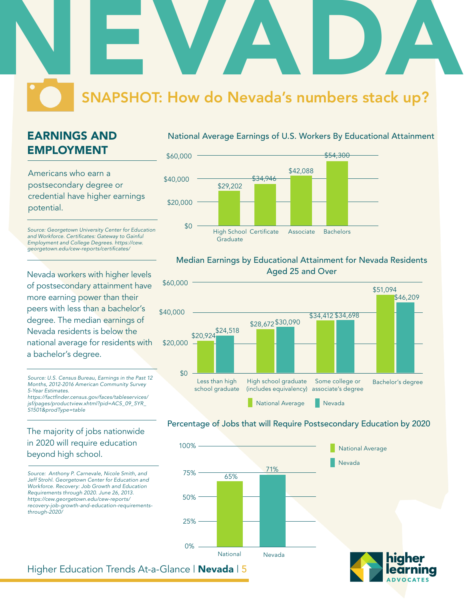# NEVADA SNAPSHOT: How do Nevada's numbers stack up?

# EARNINGS AND EMPLOYMENT

Americans who earn a postsecondary degree or credential have higher earnings potential.

*Source: Georgetown University Center for Education*  and Workforce. Certificates: Gateway to Gainful *Employment and College Degrees. https://cew.* georgetown.edu/cew-reports/certificates/

Nevada workers with higher levels of postsecondary attainment have more earning power than their peers with less than a bachelor's degree. The median earnings of Nevada residents is below the national average for residents with a bachelor's degree.

*Source: U.S. Census Bureau, Earnings in the Past 12 Months, 2012-2016 American Community Survey 5-Year Estimates.* https://factfinder.census.gov/faces/tableservices/

*jsf/pages/productview.xhtml?pid=ACS\_09\_5YR\_ S1501&prodType=table*

## The majority of jobs nationwide in 2020 will require education beyond high school.

*Source: Anthony P. Carnevale, Nicole Smith, and Jeff Strohl. Georgetown Center for Education and Workforce. Recovery: Job Growth and Education Requirements through 2020. June 26, 2013. https://cew.georgetown.edu/cew-reports/ recovery-job-growth-and-education-requirementsthrough-2020/*

#### National Average Earnings of U.S. Workers By Educational Attainment



#### Median Earnings by Educational Attainment for Nevada Residents Aged 25 and Over



# 65% 71% National Nevada 0% 25% 75% 100% 50% Nevada National Average

Percentage of Jobs that will Require Postsecondary Education by 2020

Higher Education Trends At-a-Glance | **Nevada** | 5